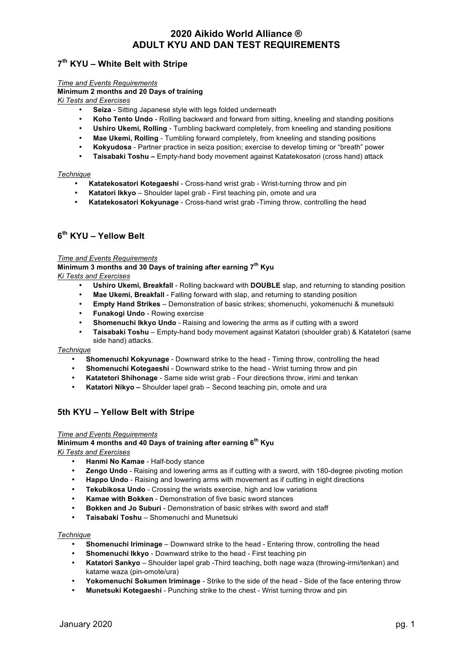# **7th KYU – White Belt with Stripe**

*Time and Events Requirements*

### **Minimum 2 months and 20 Days of training**

*Ki Tests and Exercises*

- **Seiza** Sitting Japanese style with legs folded underneath
- **Koho Tento Undo** Rolling backward and forward from sitting, kneeling and standing positions
- **Ushiro Ukemi, Rolling** Tumbling backward completely, from kneeling and standing positions
- **Mae Ukemi, Rolling** Tumbling forward completely, from kneeling and standing positions
- **Kokyudosa** Partner practice in seiza position; exercise to develop timing or "breath" power
- **Taisabaki Toshu –** Empty-hand body movement against Katatekosatori (cross hand) attack

### *Technique*

- **Katatekosatori Kotegaeshi** Cross-hand wrist grab Wrist-turning throw and pin
- **Katatori Ikkyo** Shoulder lapel grab First teaching pin, omote and ura
- **Katatekosatori Kokyunage** Cross-hand wrist grab -Timing throw, controlling the head

# **6th KYU – Yellow Belt**

### *Time and Events Requirements*

**Minimum 3 months and 30 Days of training after earning 7th Kyu** *Ki Tests and Exercises*

- **Ushiro Ukemi, Breakfall** Rolling backward with **DOUBLE** slap, and returning to standing position
- **Mae Ukemi, Breakfall** Falling forward with slap, and returning to standing position
- **Empty Hand Strikes** Demonstration of basic strikes; shomenuchi, yokomenuchi & munetsuki
- **Funakogi Undo** Rowing exercise
- **Shomenuchi Ikkyo Undo** Raising and lowering the arms as if cutting with a sword
- **Taisabaki Toshu** Empty-hand body movement against Katatori (shoulder grab) & Katatetori (same side hand) attacks.

#### *Technique*

- **Shomenuchi Kokyunage** Downward strike to the head Timing throw, controlling the head
- **Shomenuchi Kotegaeshi** Downward strike to the head Wrist turning throw and pin
- **Katatetori Shihonage** Same side wrist grab Four directions throw, irimi and tenkan
- **Katatori Nikyo –** Shoulder lapel grab Second teaching pin, omote and ura

# **5th KYU – Yellow Belt with Stripe**

#### *Time and Events Requirements*

#### **Minimum 4 months and 40 Days of training after earning 6th Kyu**

*Ki Tests and Exercises*

- **Hanmi No Kamae** Half-body stance
- **Zengo Undo** Raising and lowering arms as if cutting with a sword, with 180-degree pivoting motion
- **Happo Undo** Raising and lowering arms with movement as if cutting in eight directions
- **Tekubikosa Undo** Crossing the wrists exercise, high and low variations
- **Kamae with Bokken** Demonstration of five basic sword stances
- **Bokken and Jo Suburi** Demonstration of basic strikes with sword and staff
- **Taisabaki Toshu**  Shomenuchi and Munetsuki

### *Technique*

- **Shomenuchi Iriminage** Downward strike to the head Entering throw, controlling the head
- **Shomenuchi Ikkyo** Downward strike to the head First teaching pin
- **Katatori Sankyo** Shoulder lapel grab -Third teaching, both nage waza (throwing-irmi/tenkan) and katame waza (pin-omote/ura)
- **Yokomenuchi Sokumen Iriminage** Strike to the side of the head Side of the face entering throw
- **Munetsuki Kotegaeshi** Punching strike to the chest Wrist turning throw and pin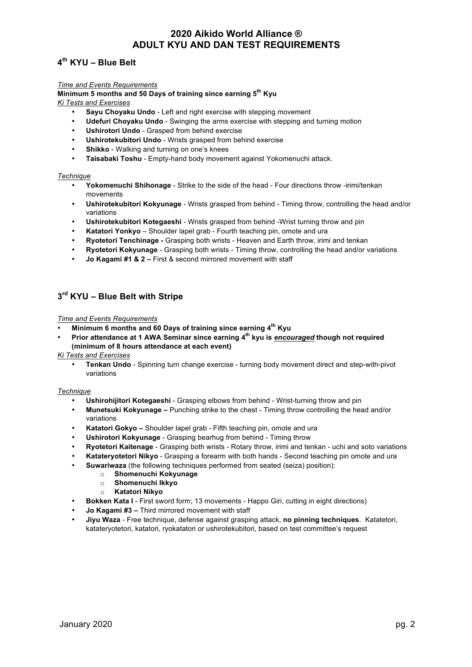# **4th KYU – Blue Belt**

### *Time and Events Requirements*

**Minimum 5 months and 50 Days of training since earning 5th Kyu** *Ki Tests and Exercises*

- **Sayu Choyaku Undo** Left and right exercise with stepping movement
- **Udefuri Choyaku Undo** Swinging the arms exercise with stepping and turning motion
- **Ushirotori Undo** Grasped from behind exercise
- **Ushirotekubitori Undo** Wrists grasped from behind exercise
- **Shikko** Walking and turning on one's knees
- **Taisabaki Toshu** Empty-hand body movement against Yokomenuchi attack.

### *Technique*

- **Yokomenuchi Shihonage** Strike to the side of the head Four directions throw -irimi/tenkan movements
- **Ushirotekubitori Kokyunage** Wrists grasped from behind Timing throw, controlling the head and/or variations
- **Ushirotekubitori Kotegaeshi** Wrists grasped from behind -Wrist turning throw and pin
- **Katatori Yonkyo** Shoulder lapel grab Fourth teaching pin, omote and ura
- **Ryotetori Tenchinage -** Grasping both wrists Heaven and Earth throw, irimi and tenkan
- **Ryotetori Kokyunage** Grasping both wrists Timing throw, controlling the head and/or variations
- **Jo Kagami #1 & 2 –** First & second mirrored movement with staff

### **3rd KYU – Blue Belt with Stripe**

### *Time and Events Requirements*

- **Minimum 6 months and 60 Days of training since earning 4th Kyu**
- **Prior attendance at 1 AWA Seminar since earning 4th kyu is** *encouraged* **though not required (minimum of 8 hours attendance at each event)**
- *Ki Tests and Exercises*
	- **Tenkan Undo** Spinning turn change exercise turning body movement direct and step-with-pivot variations

#### *Technique*

- **Ushirohijitori Kotegaeshi**  Grasping elbows from behind Wrist-turning throw and pin
- **Munetsuki Kokyunage –** Punching strike to the chest Timing throw controlling the head and/or variations
- **Katatori Gokyo –** Shoulder lapel grab Fifth teaching pin, omote and ura
- **Ushirotori Kokyunage** Grasping bearhug from behind Timing throw
- **Ryotetori Kaitenage**  Grasping both wrists Rotary throw, irimi and tenkan uchi and soto variations
- **Katateryotetori Nikyo** Grasping a forearm with both hands Second teaching pin omote and ura
- **Suwariwaza** (the following techniques performed from seated (seiza) position):
	- o **Shomenuchi Kokyunage**
	- o **Shomenuchi Ikkyo**
	- o **Katatori Nikyo**
- **Bokken Kata I**  First sword form; 13 movements Happo Giri, cutting in eight directions)
- **Jo Kagami #3 –** Third mirrored movement with staff
- **Jiyu Waza** Free technique, defense against grasping attack, **no pinning techniques**. Katatetori, katateryotetori, katatori, ryokatatori or ushirotekubitori, based on test committee's request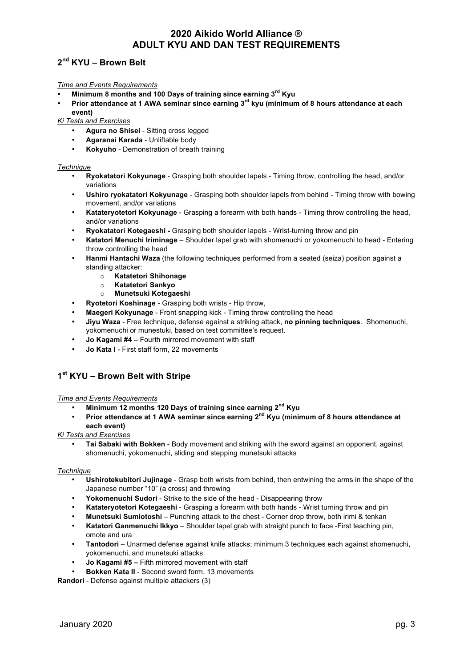# **2nd KYU – Brown Belt**

### *Time and Events Requirements*

- **Minimum 8 months and 100 Days of training since earning 3rd Kyu**
- **Prior attendance at 1 AWA seminar since earning 3rd kyu (minimum of 8 hours attendance at each event)**

*Ki Tests and Exercises*

- **Agura no Shisei** Sitting cross legged
- **Agaranai Karada** Unliftable body
- **Kokyuho** Demonstration of breath training

### *Technique*

- **Ryokatatori Kokyunage** Grasping both shoulder lapels Timing throw, controlling the head, and/or variations
- **Ushiro ryokatatori Kokyunage** Grasping both shoulder lapels from behind Timing throw with bowing movement, and/or variations
- **Katateryotetori Kokyunage** Grasping a forearm with both hands Timing throw controlling the head, and/or variations
- **Ryokatatori Kotegaeshi -** Grasping both shoulder lapels Wrist-turning throw and pin
- **Katatori Menuchi Iriminage** Shoulder lapel grab with shomenuchi or yokomenuchi to head Entering throw controlling the head
- **Hanmi Hantachi Waza** (the following techniques performed from a seated (seiza) position against a standing attacker:
	- o **Katatetori Shihonage**
	- o **Katatetori Sankyo**
	- o **Munetsuki Kotegaeshi**
	- **Ryotetori Koshinage** Grasping both wrists Hip throw,
- **Maegeri Kokyunage** Front snapping kick Timing throw controlling the head
- **Jiyu Waza** Free technique, defense against a striking attack, **no pinning techniques**. Shomenuchi, yokomenuchi or munestuki, based on test committee's request.
- **Jo Kagami #4 –** Fourth mirrored movement with staff
- **Jo Kata I** First staff form, 22 movements

# **1st KYU – Brown Belt with Stripe**

### *Time and Events Requirements*

- **Minimum 12 months 120 Days of training since earning 2nd Kyu**
- **Prior attendance at 1 AWA seminar since earning 2nd Kyu (minimum of 8 hours attendance at each event)**

### *Ki Tests and Exercises*

• **Tai Sabaki with Bokken** - Body movement and striking with the sword against an opponent, against shomenuchi, yokomenuchi, sliding and stepping munetsuki attacks

### *Technique*

- **Ushirotekubitori Jujinage** Grasp both wrists from behind, then entwining the arms in the shape of the Japanese number "10" (a cross) and throwing
- **Yokomenuchi Sudori** Strike to the side of the head Disappearing throw
- **Katateryotetori Kotegaeshi** Grasping a forearm with both hands Wrist turning throw and pin
- **Munetsuki Sumiotoshi** Punching attack to the chest Corner drop throw, both irimi & tenkan
- **Katatori Ganmenuchi Ikkyo** Shoulder lapel grab with straight punch to face -First teaching pin, omote and ura
- **Tantodori** Unarmed defense against knife attacks; minimum 3 techniques each against shomenuchi, yokomenuchi, and munetsuki attacks
- **Jo Kagami #5 –** Fifth mirrored movement with staff
- **Bokken Kata II**  Second sword form, 13 movements

**Randori** - Defense against multiple attackers (3)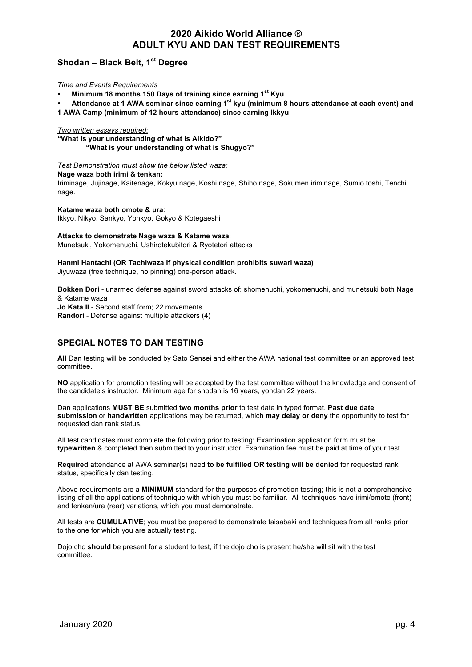# **Shodan – Black Belt, 1st Degree**

### *Time and Events Requirements*

• **Minimum 18 months 150 Days of training since earning 1st Kyu**

• **Attendance at 1 AWA seminar since earning 1st kyu (minimum 8 hours attendance at each event) and 1 AWA Camp (minimum of 12 hours attendance) since earning Ikkyu**

### *Two written essays required:*

**"What is your understanding of what is Aikido?" "What is your understanding of what is Shugyo?"**

### *Test Demonstration must show the below listed waza:*

**Nage waza both irimi & tenkan:**

Iriminage, Jujinage, Kaitenage, Kokyu nage, Koshi nage, Shiho nage, Sokumen iriminage, Sumio toshi, Tenchi nage.

### **Katame waza both omote & ura**:

Ikkyo, Nikyo, Sankyo, Yonkyo, Gokyo & Kotegaeshi

#### **Attacks to demonstrate Nage waza & Katame waza**:

Munetsuki, Yokomenuchi, Ushirotekubitori & Ryotetori attacks

#### **Hanmi Hantachi (OR Tachiwaza If physical condition prohibits suwari waza)** Jiyuwaza (free technique, no pinning) one-person attack.

**Bokken Dori** - unarmed defense against sword attacks of: shomenuchi, yokomenuchi, and munetsuki both Nage & Katame waza **Jo Kata II** - Second staff form; 22 movements **Randori** - Defense against multiple attackers (4)

# **SPECIAL NOTES TO DAN TESTING**

**All** Dan testing will be conducted by Sato Sensei and either the AWA national test committee or an approved test committee.

**NO** application for promotion testing will be accepted by the test committee without the knowledge and consent of the candidate's instructor. Minimum age for shodan is 16 years, yondan 22 years.

Dan applications **MUST BE** submitted **two months prior** to test date in typed format. **Past due date submission** or **handwritten** applications may be returned, which **may delay or deny** the opportunity to test for requested dan rank status.

All test candidates must complete the following prior to testing: Examination application form must be **typewritten** & completed then submitted to your instructor. Examination fee must be paid at time of your test.

**Required** attendance at AWA seminar(s) need **to be fulfilled OR testing will be denied** for requested rank status, specifically dan testing.

Above requirements are a **MINIMUM** standard for the purposes of promotion testing; this is not a comprehensive listing of all the applications of technique with which you must be familiar. All techniques have irimi/omote (front) and tenkan/ura (rear) variations, which you must demonstrate.

All tests are **CUMULATIVE**; you must be prepared to demonstrate taisabaki and techniques from all ranks prior to the one for which you are actually testing.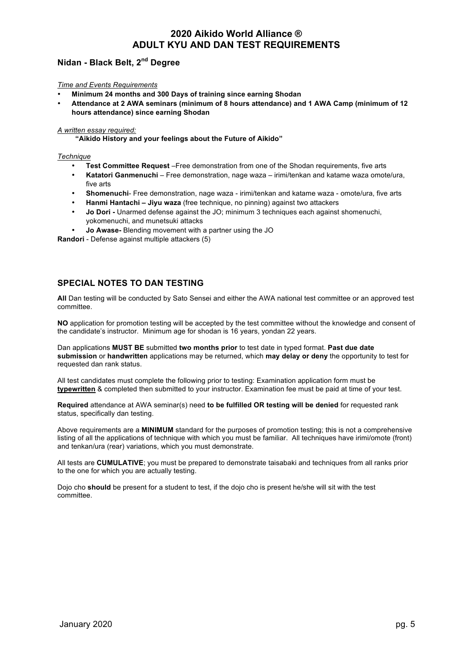# **Nidan - Black Belt, 2nd Degree**

### *Time and Events Requirements*

- **Minimum 24 months and 300 Days of training since earning Shodan**
- **Attendance at 2 AWA seminars (minimum of 8 hours attendance) and 1 AWA Camp (minimum of 12 hours attendance) since earning Shodan**

### *A written essay required:*

 **"Aikido History and your feelings about the Future of Aikido"**

### *Technique*

- **Test Committee Request** –Free demonstration from one of the Shodan requirements, five arts
- **Katatori Ganmenuchi** Free demonstration, nage waza irimi/tenkan and katame waza omote/ura, five arts
- **Shomenuchi** Free demonstration, nage waza irimi/tenkan and katame waza omote/ura, five arts
- **Hanmi Hantachi – Jiyu waza** (free technique, no pinning) against two attackers
- **Jo Dori -** Unarmed defense against the JO; minimum 3 techniques each against shomenuchi, yokomenuchi, and munetsuki attacks
- **Jo Awase-** Blending movement with a partner using the JO

**Randori** - Defense against multiple attackers (5)

# **SPECIAL NOTES TO DAN TESTING**

**All** Dan testing will be conducted by Sato Sensei and either the AWA national test committee or an approved test committee.

**NO** application for promotion testing will be accepted by the test committee without the knowledge and consent of the candidate's instructor. Minimum age for shodan is 16 years, yondan 22 years.

Dan applications **MUST BE** submitted **two months prior** to test date in typed format. **Past due date submission** or **handwritten** applications may be returned, which **may delay or deny** the opportunity to test for requested dan rank status.

All test candidates must complete the following prior to testing: Examination application form must be **typewritten** & completed then submitted to your instructor. Examination fee must be paid at time of your test.

**Required** attendance at AWA seminar(s) need **to be fulfilled OR testing will be denied** for requested rank status, specifically dan testing.

Above requirements are a **MINIMUM** standard for the purposes of promotion testing; this is not a comprehensive listing of all the applications of technique with which you must be familiar. All techniques have irimi/omote (front) and tenkan/ura (rear) variations, which you must demonstrate.

All tests are **CUMULATIVE**; you must be prepared to demonstrate taisabaki and techniques from all ranks prior to the one for which you are actually testing.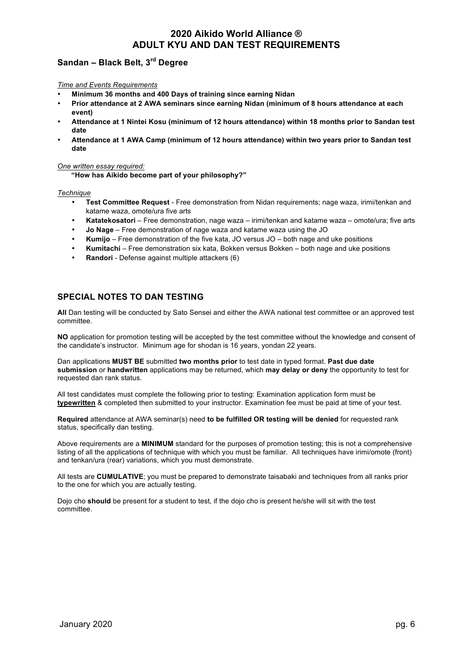# **Sandan – Black Belt, 3rd Degree**

### *Time and Events Requirements*

- **Minimum 36 months and 400 Days of training since earning Nidan**
- **Prior attendance at 2 AWA seminars since earning Nidan (minimum of 8 hours attendance at each event)**
- **Attendance at 1 Nintei Kosu (minimum of 12 hours attendance) within 18 months prior to Sandan test date**
- **Attendance at 1 AWA Camp (minimum of 12 hours attendance) within two years prior to Sandan test date**

### *One written essay required:*

**"How has Aikido become part of your philosophy?"**

### *Technique*

- **Test Committee Request** Free demonstration from Nidan requirements; nage waza, irimi/tenkan and katame waza, omote/ura five arts
- Katatekosatori Free demonstration, nage waza irimi/tenkan and katame waza omote/ura; five arts
- **Jo Nage** Free demonstration of nage waza and katame waza using the JO
- **Kumijo** Free demonstration of the five kata, JO versus JO both nage and uke positions
- **Kumitachi** Free demonstration six kata, Bokken versus Bokken both nage and uke positions
- **Randori** Defense against multiple attackers (6)

### **SPECIAL NOTES TO DAN TESTING**

**All** Dan testing will be conducted by Sato Sensei and either the AWA national test committee or an approved test committee.

**NO** application for promotion testing will be accepted by the test committee without the knowledge and consent of the candidate's instructor. Minimum age for shodan is 16 years, yondan 22 years.

Dan applications **MUST BE** submitted **two months prior** to test date in typed format. **Past due date submission** or **handwritten** applications may be returned, which **may delay or deny** the opportunity to test for requested dan rank status.

All test candidates must complete the following prior to testing: Examination application form must be **typewritten** & completed then submitted to your instructor. Examination fee must be paid at time of your test.

**Required** attendance at AWA seminar(s) need **to be fulfilled OR testing will be denied** for requested rank status, specifically dan testing.

Above requirements are a **MINIMUM** standard for the purposes of promotion testing; this is not a comprehensive listing of all the applications of technique with which you must be familiar. All techniques have irimi/omote (front) and tenkan/ura (rear) variations, which you must demonstrate.

All tests are **CUMULATIVE**; you must be prepared to demonstrate taisabaki and techniques from all ranks prior to the one for which you are actually testing.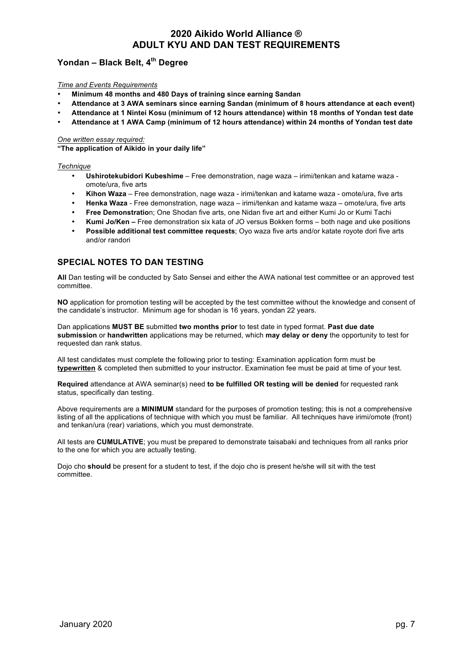# **Yondan – Black Belt, 4th Degree**

### *Time and Events Requirements*

- **Minimum 48 months and 480 Days of training since earning Sandan**
- **Attendance at 3 AWA seminars since earning Sandan (minimum of 8 hours attendance at each event)**
- **Attendance at 1 Nintei Kosu (minimum of 12 hours attendance) within 18 months of Yondan test date**
- **Attendance at 1 AWA Camp (minimum of 12 hours attendance) within 24 months of Yondan test date**

### *One written essay required:*

**"The application of Aikido in your daily life"**

### *Technique*

- **Ushirotekubidori Kubeshime** Free demonstration, nage waza irimi/tenkan and katame waza omote/ura, five arts
- **Kihon Waza** Free demonstration, nage waza irimi/tenkan and katame waza omote/ura, five arts
- **Henka Waza** Free demonstration, nage waza irimi/tenkan and katame waza omote/ura, five arts
- **Free Demonstratio**n; One Shodan five arts, one Nidan five art and either Kumi Jo or Kumi Tachi
- **Kumi Jo/Ken –** Free demonstration six kata of JO versus Bokken forms both nage and uke positions
- **Possible additional test committee requests**; Oyo waza five arts and/or katate royote dori five arts and/or randori

# **SPECIAL NOTES TO DAN TESTING**

**All** Dan testing will be conducted by Sato Sensei and either the AWA national test committee or an approved test committee.

**NO** application for promotion testing will be accepted by the test committee without the knowledge and consent of the candidate's instructor. Minimum age for shodan is 16 years, yondan 22 years.

Dan applications **MUST BE** submitted **two months prior** to test date in typed format. **Past due date submission** or **handwritten** applications may be returned, which **may delay or deny** the opportunity to test for requested dan rank status.

All test candidates must complete the following prior to testing: Examination application form must be **typewritten** & completed then submitted to your instructor. Examination fee must be paid at time of your test.

**Required** attendance at AWA seminar(s) need **to be fulfilled OR testing will be denied** for requested rank status, specifically dan testing.

Above requirements are a **MINIMUM** standard for the purposes of promotion testing; this is not a comprehensive listing of all the applications of technique with which you must be familiar. All techniques have irimi/omote (front) and tenkan/ura (rear) variations, which you must demonstrate.

All tests are **CUMULATIVE**; you must be prepared to demonstrate taisabaki and techniques from all ranks prior to the one for which you are actually testing.